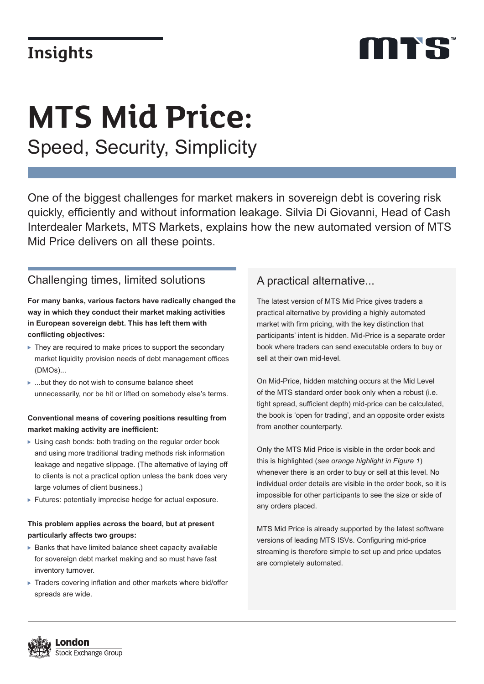## **Insights**

# mes

# Speed, Security, Simplicity **MTS Mid Price:**

One of the biggest challenges for market makers in sovereign debt is covering risk quickly, efficiently and without information leakage. Silvia Di Giovanni, Head of Cash Interdealer Markets, MTS Markets, explains how the new automated version of MTS Mid Price delivers on all these points.

## Challenging times, limited solutions

**For many banks, various factors have radically changed the way in which they conduct their market making activities in European sovereign debt. This has left them with conflicting objectives:**

- ▶ They are required to make prices to support the secondary market liquidity provision needs of debt management offices (DMOs)...
- ...but they do not wish to consume balance sheet unnecessarily, nor be hit or lifted on somebody else's terms.

#### **Conventional means of covering positions resulting from market making activity are inefficient:**

- Using cash bonds: both trading on the regular order book and using more traditional trading methods risk information leakage and negative slippage. (The alternative of laying off to clients is not a practical option unless the bank does very large volumes of client business.)
- Futures: potentially imprecise hedge for actual exposure.

#### **This problem applies across the board, but at present particularly affects two groups:**

- $\blacktriangleright$  Banks that have limited balance sheet capacity available for sovereign debt market making and so must have fast inventory turnover.
- ▶ Traders covering inflation and other markets where bid/offer spreads are wide.

## A practical alternative...

The latest version of MTS Mid Price gives traders a practical alternative by providing a highly automated market with firm pricing, with the key distinction that participants' intent is hidden. Mid-Price is a separate order book where traders can send executable orders to buy or sell at their own mid-level.

On Mid-Price, hidden matching occurs at the Mid Level of the MTS standard order book only when a robust (i.e. tight spread, sufficient depth) mid-price can be calculated, the book is 'open for trading', and an opposite order exists from another counterparty.

Only the MTS Mid Price is visible in the order book and this is highlighted (*see orange highlight in Figure 1*) whenever there is an order to buy or sell at this level. No individual order details are visible in the order book, so it is impossible for other participants to see the size or side of any orders placed.

MTS Mid Price is already supported by the latest software versions of leading MTS ISVs. Configuring mid-price streaming is therefore simple to set up and price updates are completely automated.

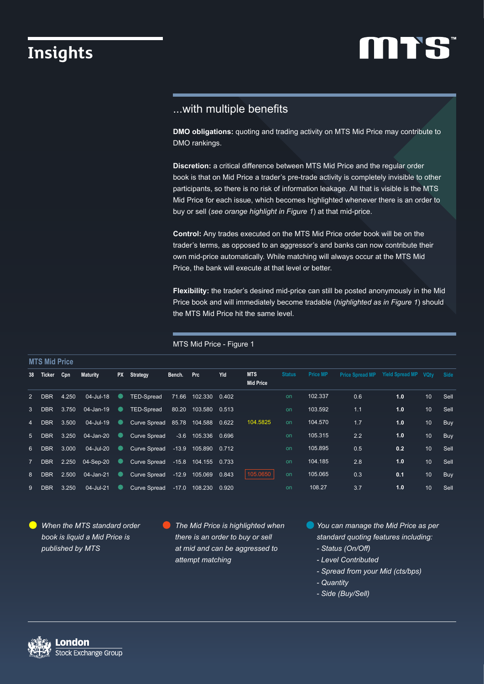## **Insights**

# **MTS**

### ...with multiple benefits

**DMO obligations:** quoting and trading activity on MTS Mid Price may contribute to DMO rankings.

**Discretion:** a critical difference between MTS Mid Price and the regular order book is that on Mid Price a trader's pre-trade activity is completely invisible to other participants, so there is no risk of information leakage. All that is visible is the MTS Mid Price for each issue, which becomes highlighted whenever there is an order to buy or sell (*see orange highlight in Figure 1*) at that mid-price.

**Control:** Any trades executed on the MTS Mid Price order book will be on the trader's terms, as opposed to an aggressor's and banks can now contribute their own mid-price automatically. While matching will always occur at the MTS Mid Price, the bank will execute at that level or better.

**Flexibility:** the trader's desired mid-price can still be posted anonymously in the Mid Price book and will immediately become tradable (*highlighted as in Figure 1*) should the MTS Mid Price hit the same level.

MTS Mid Price - Figure 1

| MIS MID Price  |               |           |                       |  |                                  |        |                      |     |                                |               |                 |                                      |     |                 |      |
|----------------|---------------|-----------|-----------------------|--|----------------------------------|--------|----------------------|-----|--------------------------------|---------------|-----------------|--------------------------------------|-----|-----------------|------|
|                | 38 Ticker Cpn |           | <b>Maturity</b>       |  | PX Strategy                      | Bench. | <b>Prc</b>           | Yld | <b>MTS</b><br><b>Mid Price</b> | <b>Status</b> | <b>Price MP</b> | Price Spread MP Yield Spread MP VQtv |     |                 | Side |
| $\overline{2}$ |               | DBR 4.250 | $04$ -Jul-18          |  | TED-Spread                       |        | 71.66 102.330 0.402  |     |                                | on            | 102.337         | 0.6                                  | 1.0 | 10 <sup>°</sup> | Sell |
|                |               |           | 3 DBR 3.750 04-Jan-19 |  | TED-Spread                       |        | 80.20 103.580 0.513  |     |                                | on            | 103.592         | 1.1                                  | 1.0 | 10 <sup>°</sup> | Sell |
| $\overline{4}$ | DBR 3.500     |           | $04$ -Jul-19          |  | Curve Spread 85.78 104.588 0.622 |        |                      |     | 104.5825                       | on            | 104.570         | 1.7                                  | 1.0 | 10              | Buy  |
| 5 <sup>5</sup> |               |           | DBR 3.250 04-Jan-20   |  | <b>Curve Spread</b>              |        | $-3.6$ 105.336 0.696 |     |                                | on            | 105.315         | 2.2                                  | 1.0 | 10              | Buy  |
|                | 6 DBR 3.000   |           | $04$ -Jul-20          |  | Curve Spread -13.9 105.890 0.712 |        |                      |     |                                | on            | 105.895         | 0.5                                  | 0.2 | 10 <sup>°</sup> | Sell |
| $7^{\circ}$    |               |           | DBR 2.250 04-Sep-20   |  | Curve Spread -15.8 104.155 0.733 |        |                      |     |                                | on            | 104.185         | 2.8                                  | 1.0 | 10 <sup>°</sup> | Sell |
| 8              |               |           | DBR 2.500 04-Jan-21   |  | Curve Spread -12.9 105.069 0.843 |        |                      |     | 105.0650                       | on            | 105.065         | 0.3                                  | 0.1 | 10 <sup>°</sup> | Buy  |
| 9              | <b>DBR</b>    | 3.250     | $04$ -Jul-21          |  | Curve Spread -17.0 108.230 0.920 |        |                      |     |                                | on            | 108.27          | 3.7                                  | 1.0 | 10              | Sell |

*When the MTS standard order book is liquid a Mid Price is published by MTS*

*The Mid Price is highlighted when there is an order to buy or sell at mid and can be aggressed to attempt matching*

- *You can manage the Mid Price as per standard quoting features including:*
	- *Status (On/Off)*
	- *Level Contributed*
	- *Spread from your Mid (cts/bps)*
	- *Quantity*
	- *Side (Buy/Sell)*